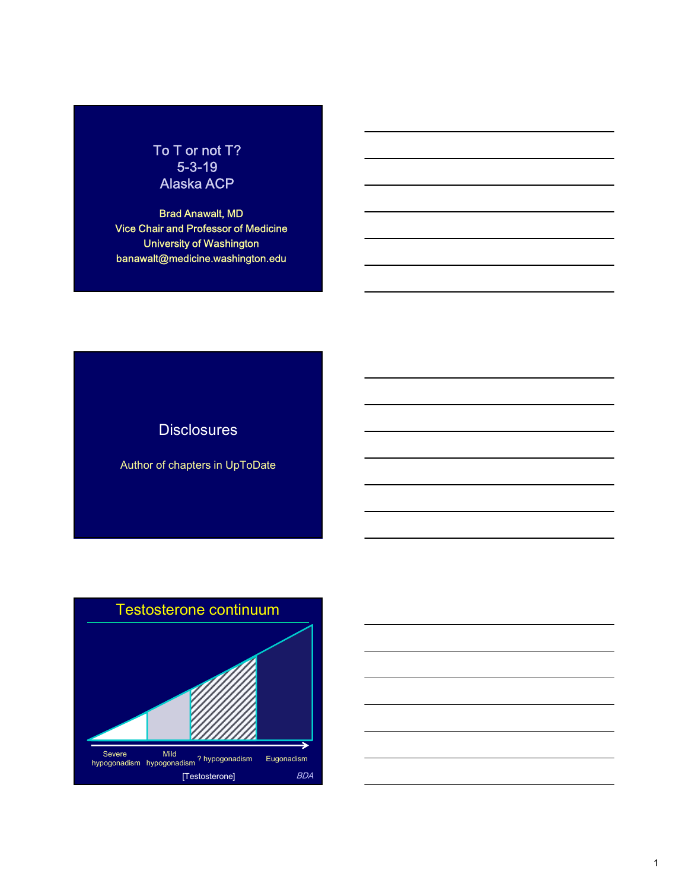# To T or not T? 5-3-19 Alaska ACP

Brad Anawalt, MD Vice Chair and Professor of Medicine University of Washington banawalt@medicine.washington.edu

# **Disclosures**

Author of chapters in UpToDate



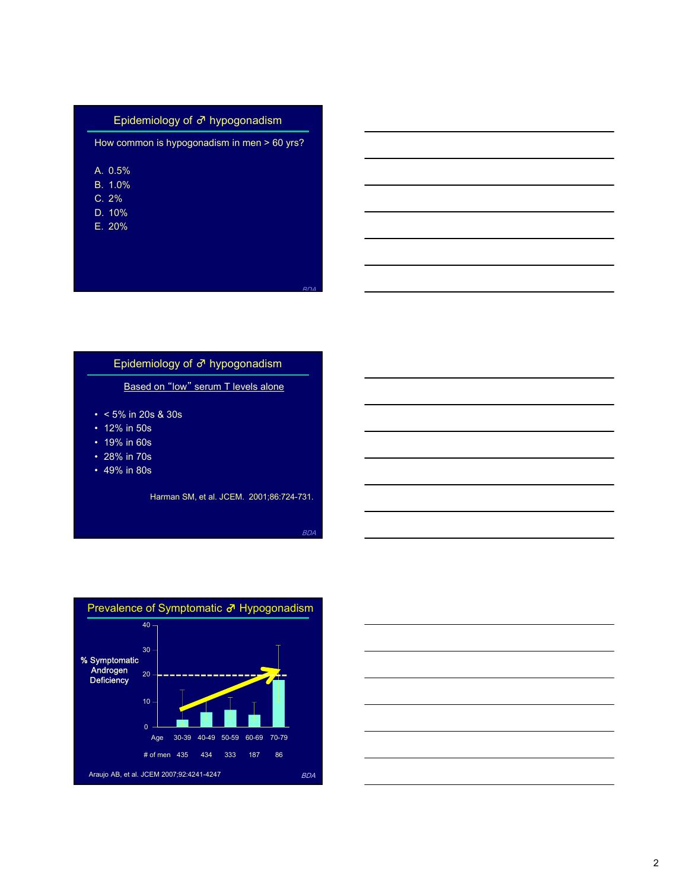| Epidemiology of $\vec{\sigma}$ hypogonadism |  |  |
|---------------------------------------------|--|--|
| How common is hypogonadism in men > 60 yrs? |  |  |
| A. 0.5%                                     |  |  |
| B. 1.0%<br>C. 2%                            |  |  |
| D. 10%                                      |  |  |
| E. 20%                                      |  |  |
|                                             |  |  |
| <b>RDA</b>                                  |  |  |
|                                             |  |  |
|                                             |  |  |
|                                             |  |  |
| Epidemiology of ♂ hypogonadism              |  |  |
| Based on "low" serum T levels alone         |  |  |
| $\cdot$ < 5% in 20s & 30s                   |  |  |
| • 12% in 50s<br>• 19% in 60s                |  |  |
| • 28% in 70s                                |  |  |
| • 49% in 80s                                |  |  |
| Harman SM, et al. JCEM. 2001;86:724-731.    |  |  |
|                                             |  |  |
| <b>BDA</b>                                  |  |  |

# Epidemiology of ♂ hypogonadism

- 
- 
- 
- 
- 



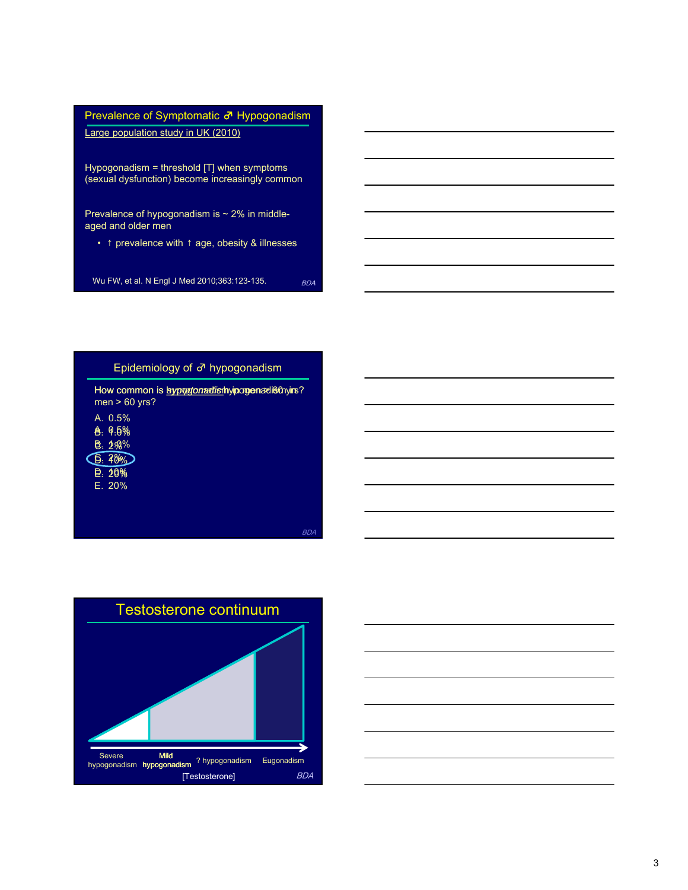





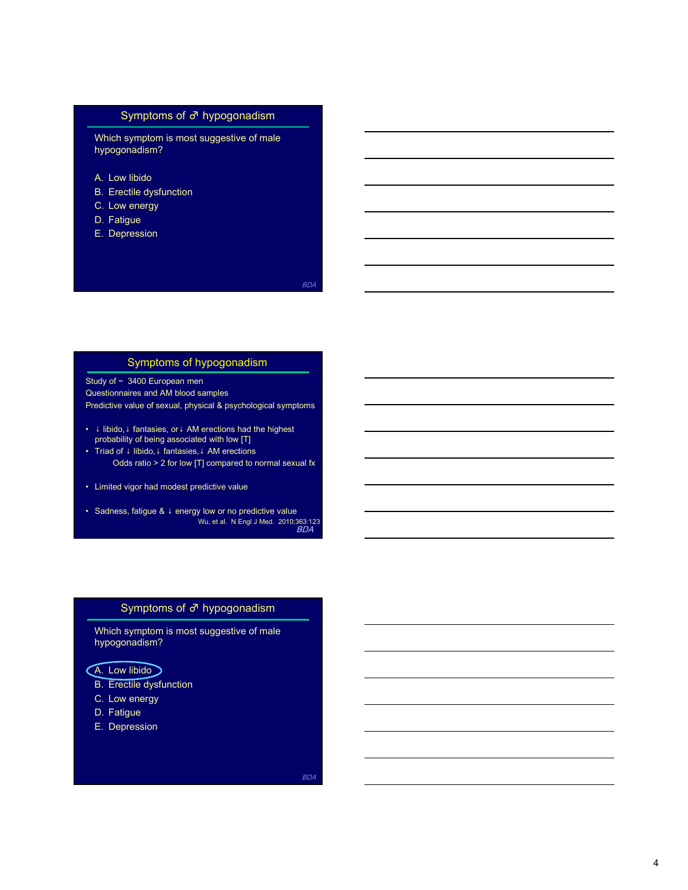#### Symptoms of ♂ hypogonadism

Which symptom is most suggestive of male hypogonadism? Symptoms of  $\sigma$ <sup>n</sup> hypogonadism<br>
Which symptom is most suggestive of male<br>
hypogonadism?<br>
A. Low libido<br>
B. Erectile dysfunction<br>
C. Low energy<br>
D. Fatigue<br>
D. Fatigue<br>
E. Depression Symptoms of  $\vec{\sigma}$  hypogonadism<br>Which symptom is most suggestive of male<br>hypogonadism?<br>A. Low libido<br>B. Erectile dysfunction<br>C. Low energy<br>D. Fatigue<br>E. Depression Symptoms of  $\vec{\sigma}$  hypogonadism<br>
Which symptom is most suggestive of male<br>
hypogonadism?<br>
A. Low libido<br>
B. Erectile dysfunction<br>
C. Low energy<br>
D. Fatigue<br>
E. Depression Symptoms of  $\vec{\sigma}$  hypogonadism<br>
Which symptom is most suggestive of male<br>
Mypogonadism?<br>
A. Low libido<br>
B. Erectile dysfunction<br>
C. Low energy<br>
D. Fatigue<br>
E. Depression<br>
Fatigue Symptoms of  $\vec{\sigma}$  hypogonadism<br>
Which symptom is most suggestive of male<br>
hypogonadism?<br>
A. Low libido<br>
B. Erectlie dysfunction<br>
C. Low energy<br>
D. Fatigue<br>
D. Fatigue<br>
E. Depression<br>
B. Ratigue

- 
- 
- 
- 
- 

#### Symptoms of hypogonadism

Study of ~ 3400 European men Questionnaires and AM blood samples Predictive value of sexual, physical & psychological symptoms • Nuncia symptom is sinost suggestive of intale<br>
A. Low libido<br>
B. Erectile dysfunction<br>
C. Low energy<br>
D. Fatigue<br>
E. Depression<br>
Symptoms of hypogonadism<br>
Study of∼ 3400 European men<br>
Study of∼ 3400 European men<br>
Oddes A. Low libido<br>
C. Low energy<br>
D. Fatigue<br>
E. Depression<br>
E. Depression<br>
Study of ~ 3400 European men<br>
Study of ~ 3400 European men<br>
Ductionsitions and AM blood samples<br>
Predictive value of sexual, physical & psychologic C. Low energy<br>
D. Fatigue<br>
E. Depression<br>
Symptoms of hypogonadism<br>
Study of - 3400 European men<br>
Questionnaires and AM blood samples<br>
Predictive value of sexual, physical & psychological symptoms<br>
• I initiotio, i fantas • Symptoms of hypogonadism<br>• Study of ~ 3400 European men<br>
Questionnaires and AM blood samples<br>
Predictive value of sexual, physical & psychological symptoms<br>
• ∔ libido, 1 fantasies, or AM energions had the highest<br>
• BDA<br>
In Contact Contact Contact Contact Contact Contact Contact Contact Contact Contact Contact Contact Contact Contact Contact Contact Contact Contact Contact Contact Contact Contact Contact Contact Contact Contact Contac uly or - 3400 Luropean men<br>
electionaries and AM blood samples<br>
electionaries and AM blood samples<br>
addictive value of sexual, physical & psychological symptoms<br>
are blooding the bing associated with low [T]<br>
Triad of 4 l

- probability of being associated with low [T]
- Odds ratio > 2 for low [T] compared to normal sexual fx
- 
- BDA **B**ook and the second second second second second second second second second second second second second second second second second second second second second second second second second second second second second Bedictive value of sexual, physical & psychological symptoms<br>
at libido, i fantasies, or i AM erections had the highest<br>
at libido, i fantasies, i AM erections had the highest<br>
Triad of J libido, i fantasies, i AM erectio Final divideo Control and Marketing and the highest<br>
probability of being associated with low [T]<br>
Triad of inibideo, it antasies, r. AM erections had the highest<br>
Triad of inibideo 2 for low [T] compared to normal sexual 4 libido, 1 fantasies, or i AM recclions had the highest<br>probability of being associated with low [Π]<br>Triad of + libido, 1 fantasies, i AM ereclions<br>
Odds ratio > 2 for low [Π] compared to normal sexual fx<br>
Limited vigor probability of being associated with low [T]<br>
Triad of J libido, i fantasies, i. AM erections<br>
Odds ratio > 2 for low [T] compared to normal sexual fx<br>
Limited vigor had modest predictive value<br>
Sadness, fatigue & i energy

# Symptoms of ♂ hypogonadism

Which symptom is most suggestive of male hypogonadism?

- 
- 
- 
-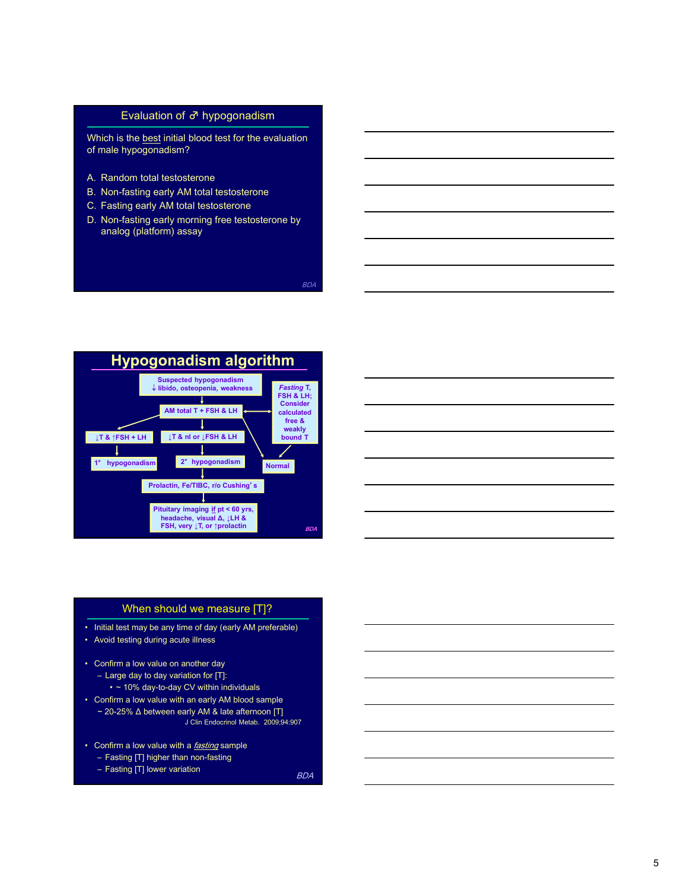#### Evaluation of ♂ hypogonadism

Evaluation of  $\vec{\sigma}$  hypogonadism<br>Which is the <u>best</u> initial blood test for the evaluation<br>of male hypogonadism?<br>A. Random total testosterone<br>B. Non-fasting early AM total testosterone<br>C. Fasting early AM total testoster of male hypogonadism? Evaluation of  $\vec{\sigma}$  hypogonadism<br>
Which is the <u>best</u> initial blood test for the evaluation<br>
of male hypogonadism?<br>
A. Random total testosterone<br>
B. Non-fasting early AM total testosterone<br>
C. Fasting early AM total test Evaluation of  $\vec{\sigma}$  hypogonadism<br>Which is the <u>best</u> initial blood test for the evaluation<br>of male hypogonadism?<br>A. Random total testosterone<br>B. Non-fasting early AM total testosterone<br>C. Fasting early AM total testoste Evaluation of  $\vec{\sigma}$  hypogonadism<br>
Which is the <u>best</u> initial blood test for the evaluation<br>
of male hypogonadism?<br>
A. Random total testosterone<br>
B. Non-fasting early AM total testosterone<br>
C. Fasting early AM total tes Evaluation of  $\vec{\sigma}$  hypogonadism<br>Which is the <u>best</u> initial blood test for the evaluation<br>of male hypogonadism?<br>A. Random total testosterone<br>B. Non-fasting early AM total testosterone<br>C. Fasting early AM total testoste

- 
- 
- 
- analog (platform) assay

BDA





#### When should we measure [T]?

- 
- 
- 
- 
- -

BDA NATURAL ESTE EN EL ENTRE EL ENTRE EL ENTRE EL ENTRE EL ENTRE EL ENTRE EL ENTRE EL ENTRE EL ENTRE EL ENTRE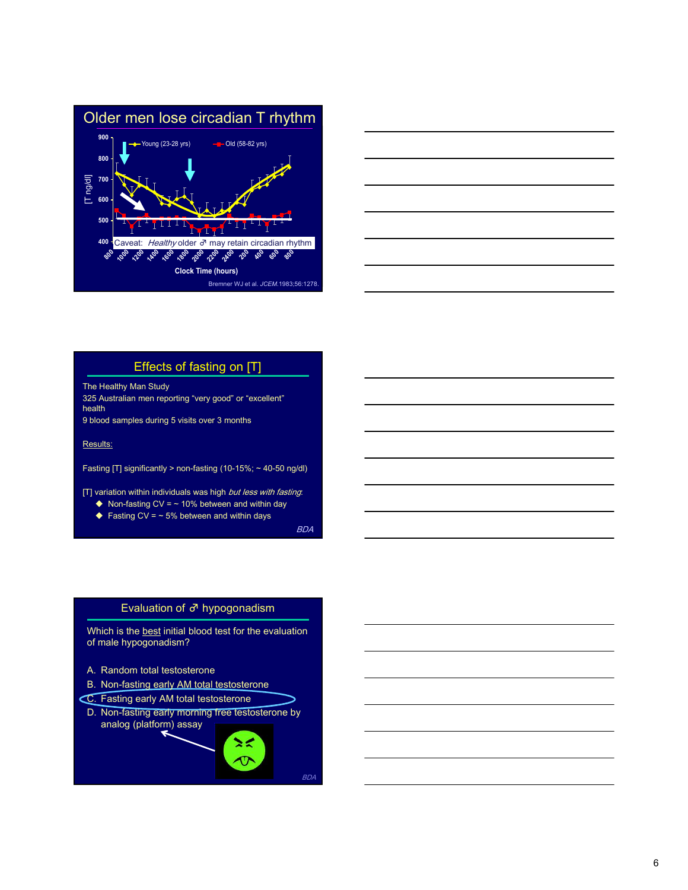



# Effects of fasting on [T]

The Healthy Man Study

325 Australian men reporting "very good" or "excellent" health 9 blood samples during 5 visits over 3 months

Results:

Fasting [T] significantly > non-fasting (10-15%; ~ 40-50 ng/dl)

[T] variation within individuals was high but less with fasting.

- $\blacklozenge$  Non-fasting CV =  $\sim$  10% between and within day
- $\triangle$  Fasting CV =  $\sim$  5% between and within days

BDA **B**ook and the second second second second second second second second second second second second second second second second second second second second second second second second second second second second second

# Evaluation of ♂ hypogonadism

of male hypogonadism?

- 
- 
- 
- Effects of fasting on [T]<br>
The Healthy Man Study<br>
Yafkultatilian mon reporting "very good" or "oxcellent"<br>

blood samples during 5 visits over 3 months<br> **EBALLS**<br>
Blood test for the evaluation and within day<br> **COMPARE THE** he Healthy Man Study<br>
The Health Study<br>
25 Australian men reporting "very good" or "excellent"<br>
blood samples during 5 visits over 3 months<br>
desults:<br>
asting [T] significantly > non-fasting (10-15%; - 40-50 ng/d)<br>
T] vari 25 Australian men reporting "very good" or "excellent"<br>
eath<br>
blood samples during 5 visits over 3 months<br>
tesults:<br>
asting [T] significantly > non-fasting (10-15%; - 40-50 ng/dl)<br>
IT variation within individuals was high esults:<br>
Holod samples during 5 visits over 3 months<br>
tesults:<br>
asting [T] significantly > non-fasting (10-15%; - 40-50 ng/d)<br>
(T) variation within individuals was high *but less with fasting*<br>
◆ Non-fasting CV = - 15% b <u>esults</u>:<br>
Maximum (T) significantly > non-fasting (10-15%; - 40-50 ng/dl)<br>
(I) variation within individuals was high *but less with fasting*<br>
◆ Non-fasting CV = - 0% between and within days<br>
◆ Fasting CV = - 6% between analog (platform) assay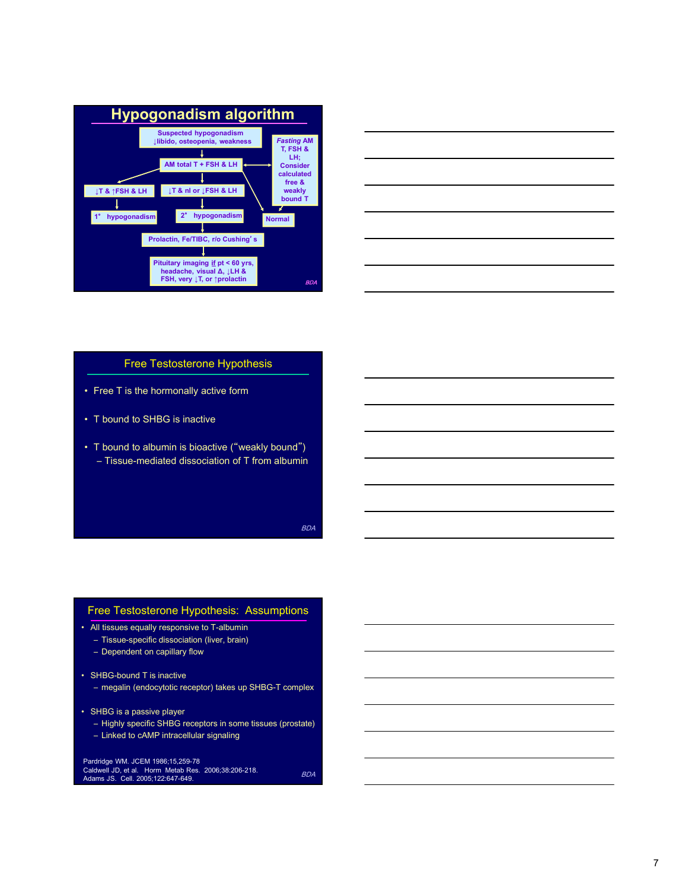



#### Free Testosterone Hypothesis

- 
- 
- 



- -
	-

```
Pardridge WM. JCEM 1986;15,259-78<br>Caldwell JD, et al. Horm Metab Res. 2006;38:206-218. BDA<br>Adams JS. Cell. 2005;122:647-649.
```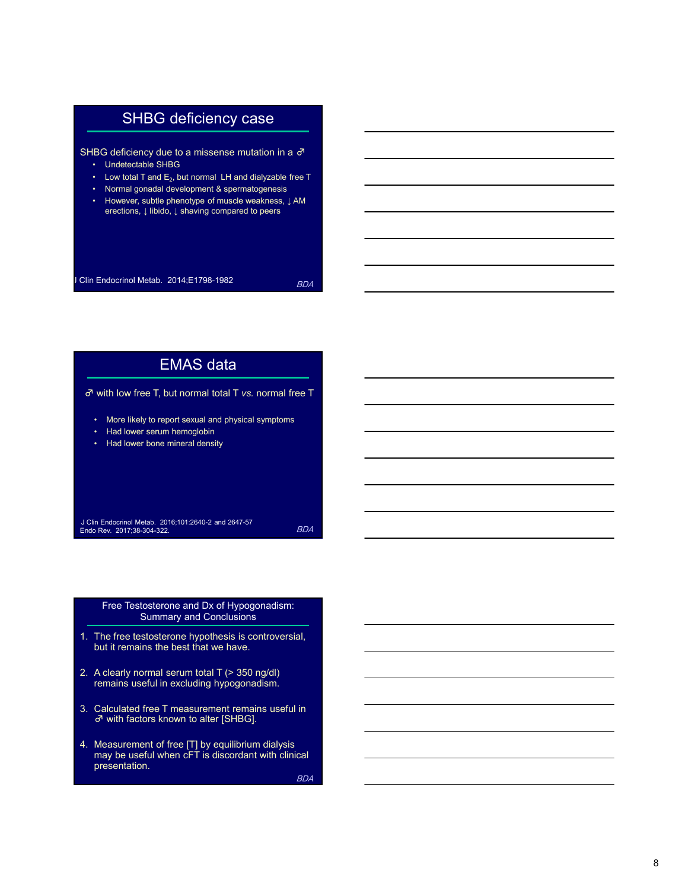# SHBG deficiency case

SHBG deficiency due to a missense mutation in a  $\sigma$ 

- 
- $\cdot$  Low total T and  $E_2$ , but normal LH and dialyzable free T
- 
- SHBG deficiency case<br>
BG deficiency due to a missense mutation in a  $\sigma$ <br>
 Undetectable SHBG<br>
 Low total T and E<sub>5</sub>, but normal LH and dialyzable free T<br>
 Normal gonadal development & spermatogenesis<br>
 However, subtle • SHBG deficiency case<br>• BG deficiency due to a missense mutation in a σ<br>• Undetectable SHBG<br>• Low total T and E<sub>2</sub>, but normal LH and dialyzable free T<br>• Normal gonadal development & spermatogenesis<br>• However, s⊔itte ph **SHBG deficiency case**<br>• Undetectable SHBG<br>• Undetectable SHBG<br>• Low total T and E<sub>2</sub>, but normal LH and dialyzable free T<br>• Normal gonadal development & spermatogenesis<br>• However, subtle phenotype of muscle weakness,  $\down$ • SHBG deficiency case<br>• BG deficiency due to a missense mutation in a σ<sup>3</sup><br>• Undetectable SHBG<br>• Low total T and E<sub>2</sub>, but normal LH and dialyzable free T<br>• Normal gonadal development & spermatogenesis<br>• However, subtle erections, ↓ libido, ↓ shaving compared to peers SHBG deficiency due to a missense mutation in a  $\sigma$ <br>
J. Undetectable SHBG<br>
Low total Tand E<sub>5</sub>, but normal LH and dialyzable free T<br>
Normal gonatal development & sperancogenesis<br>
However, subtle phenotype of muscle weakne

BDA NATURAL ESTE EN EL ENTRE EL ENTRE EL ENTRE EL ENTRE EL ENTRE EL ENTRE EL ENTRE EL ENTRE EL ENTRE EL ENTRE

# Clin Endocrinol Metab. 2014;E1798-1982<br>  $\overline{e}$ <br>  $\overline{e}$ <br>  $\overline{e}$ <br>  $\overline{f}$ <br>  $\overline{f}$ <br>  $\overline{f}$ <br>  $\overline{f}$ <br>  $\overline{f}$ <br>  $\overline{f}$ <br>  $\overline{f}$ <br>  $\overline{f}$ <br>  $\overline{f}$ <br>  $\overline{f}$ <br>  $\overline{f}$ <br>  $\overline{f}$ <br>  $\overline{f}$ <br>  $\overline{f}$ <br>  $\overline{f}$ <br> EMAS data ♂ with low free T, but normal total T vs. normal free T **EG** deficiency due to a missense mutation in a  $\sigma$ <br>
• Undelectable SHBG<br>
• Low total T and  $E_2$ , but normal LH and dialyzable free T<br>
• Nowever, subtle phenotype of muscle weakness,  $\downarrow$ AM<br>
• erections,  $\downarrow$  ilbido,  $\overline{B}$  deficiency due to a missense mutation in a  $\sigma$ <br>
• Undetectable SHBC<br>
• Low total T and  $\infty_c$  but normal LH and dialyzable free T<br>
• Normal gonadal development & spermatogenesis<br>
• Herebors, 1, libido, 1, shavin BG deficiency due to a missense mutation in a  $\sigma$ <br>• Undetectable SHBG<br>• Low total T and E<sub>2</sub>, but normal LH and dialyzable free T<br>• Norma gonatal development & spermatogenesis<br>• Norwer, suittie phenotype of muscle weakne **EMAS data**<br>  $\vec{\sigma}$  with low free T, but normal total T vs. normal free T<br>  $\cdot$  More likely to report sexual and physical symptoms<br>  $\cdot$  Had lower serum hemoglobin<br>  $\cdot$  Had lower bone mineral density<br>  $\cdot$  Had lower bon 3. With low free T, but normal total T vs. normal free T<br>
2. More likely to report sexual and physical symptoms<br>
2. Had lower serum hemoglobin<br>
2. Had lower bone mineral density<br>
2. A Clin Endocrind Metab. 2016:101:2840-2 3. Calculated free Triescular and physical symptoms<br>3. Had lower seturn hemoglobin<br>3. Calculated for measurement of the Expansion of the Expansion Metable. 2016:101:2040-2 and 2047-57<br>3. Calculated Free, 2017:38-304-322.<br> 4. Clien Endocrinot Metab. 2016:101:2640-2 and 2647-57<br>
EDA<br>
Endocrée Res. 2017:36-36-352.<br>
The free Eests betternee hypothesis is controversial,<br>
1. The free tests betternee hypothesis is controversial,<br>
2. A clearly nor EMAS data<br>
ith low free T, but normal total T vs. normal free T<br>
More likely to report sexual and physical symptoms<br>
Had lower bone mineral density<br>
Had lower bone mineral density<br>
Free mineral density<br>
Free Testosterone a

J Clin Endocrinol Metab. 2016;101:2640-2 and 2647-57<br>Endo Rev. 2017;38-304-322.

BDA **B**ook and the second second second second second second second second second second second second second second second second second second second second second second second second second second second second second

# Free Testosterone and Dx of Hypogonadism:<br>Summary and Conclusions

- but it remains the best that we have.
- remains useful in excluding hypogonadism.
- ♂ with factors known to alter [SHBG].
- 4. Measurement of free [T] by equilibrium dialysis<br>may be useful when cFT is discordant with clinical presentation.

BDA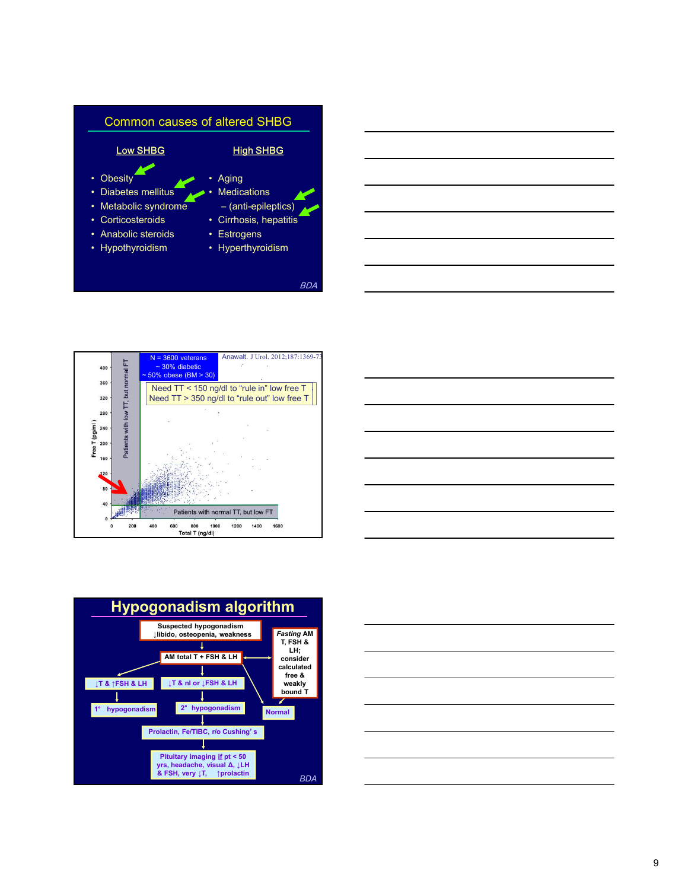







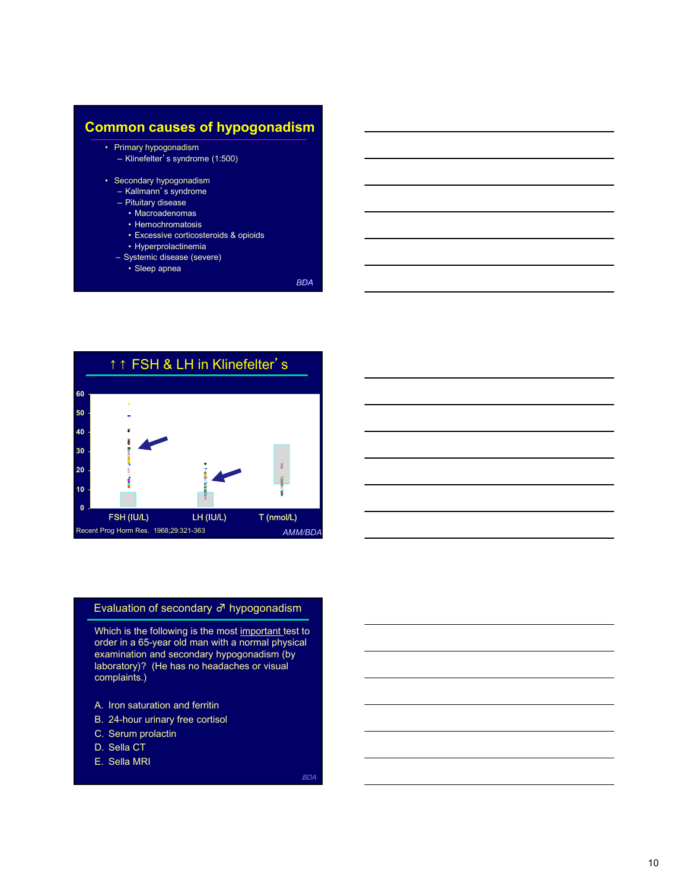

- 
- 
- 
- 



#### Evaluation of secondary ♂ hypogonadism

Which is the following is the most important test to order in a 65-year old man with a normal physical examination and secondary hypogonadism (by laboratory)? (He has no headaches or visual complaints.)

- 
- 
- 
- 
-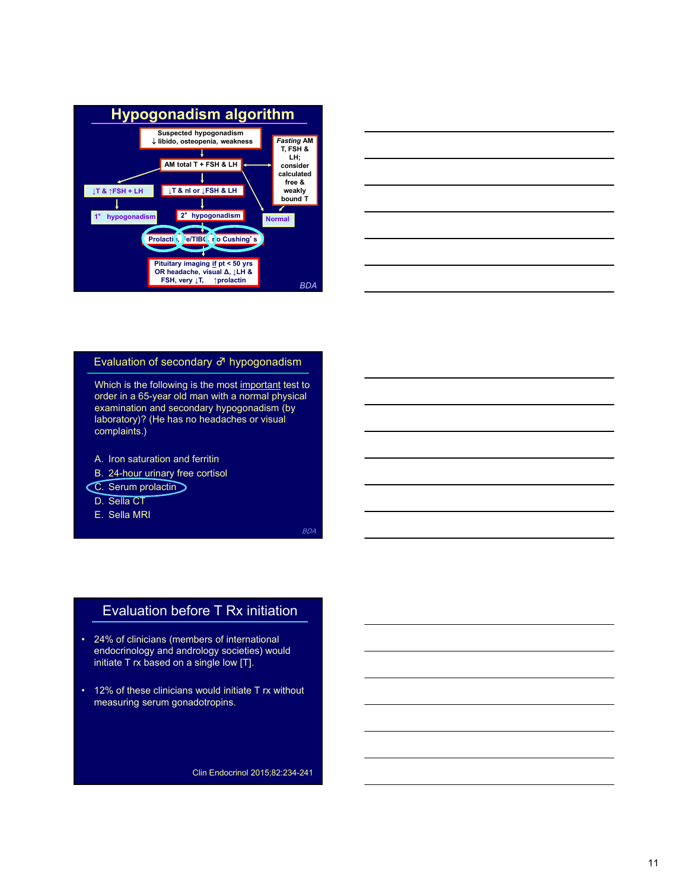



#### Evaluation of secondary ♂ hypogonadism

order in a 65-year old man with a normal physical examination and secondary hypogonadism (by laboratory)? (He has no headaches or visual complaints.) Evaluation of secondary σ<sup>3</sup> hypogonadism<br>
Which is the following is the most important test to<br>
order in a 65-year old man with a normal physical<br>
examination and secondary hypogonadism (by<br>
laboratory)? (He has no head Evaluation of secondary  $\vec{\sigma}$  hypogonadism<br>
Which is the following is the most ingodatal test to<br>
corder in a 65-year old man with a normal physical<br>
examination and secondary hypogonadism (by<br>
complaints.)<br>
A. Iron sat Which is the following is the most important test to<br>order in a 65-year old man with a normal physical<br>examination and secondary hypogonadism (by<br>based aboratory)? (He has no headaches or visual<br>complaints.)<br>A. Iron satura **one in a secondary hypogenadism** (by<br>
examination and secondary hypogenadism (by<br>
laboratory)? (He has no headaches or visual<br>
complaints.)<br>
A. Iron saturation and ferritin<br>
C. Serum projection<br>
C. Serum projection<br>
D.

# Evaluation before T Rx initiation

- EDGET RX initiation<br>
Divisors of international<br>
single low [T].<br>
would initiate T rx without<br>
would initiate T rx without<br>
dotropins.<br>
Clin Endocrinol 2015;82:234-241<br>
Clin Endocrinol 2015;82:234-241
- measuring serum gonadotropins.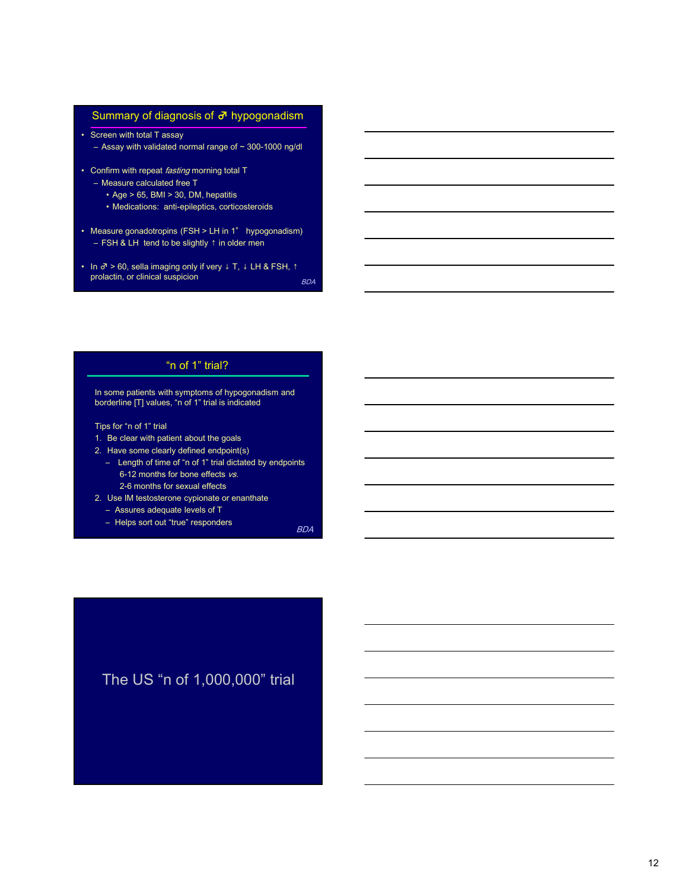#### Summary of diagnosis of  $\sigma$  hypogonadism

- Summary of diagnosis of  $\overline{d}$ <sup>1</sup> hypogonadism<br>
 Screen with total T assay<br>
 Assay with validated normal range of ~ 300-1000 ng/dl<br>
 Confirm with repeat *fasting* morning total T<br>
 Measure calculated free T<br>
 A Summary of diagnosis of  $\vec{\sigma}^{\text{t}}$  hypogonadism<br>
Screen with total T assay<br>
— Assay with validated normal range of ~ 300-1000 ng/dl<br>
Confirm with repeat *fasting* morning total T<br>
— Measure calculated free T<br>
• Age > 6 • Confirm with total T assay<br>
• Confirm with total T assay<br>
– Assay with validated normal range of ~ 300-1000 ng/dl<br>
• Confirm with repeat *fasting* morning total T<br>
– Mage > 65, BMI > 30, DM, hepatitis<br>
• Mage > 65, BM Summary of diagnosis of  $\vec{\sigma}$  hypogonadism<br>
Screen with total T assay<br>
— Assay with validated normal range of ~ 300-1000 ng/dl<br>
Confirm with repeat *fasting* morning total T<br>
— Measure calculated free T<br>
• Age > 65, BMI • Summary of diagnosis of  $\vec{\sigma}$  hypogonadism<br>• Screen with total T assay<br>– Assay with validated normal range of ~ 300-1000 ng/dl<br>• Confirm with repeat *fasting* morning total T<br>– Measure calculated free T<br>• Age > 65, S Summary of diagnosis of  $d^2$  hypogonadism<br>
Screen with total T assay<br>
– Assay with validated normal range of ~ 300-1000 ng/dl<br>
Domfirm with repeat *fasting* morning total T<br>
– Measure calculated free T<br>
• Age > 65, BMI • Summary of diagnosis of  $\vec{\sigma}$  hypogonadism<br>• Screen with total T assay<br>– Assay with validated normal range of ~ 300-1000 ng/dl<br>• Confirm with repeat *fasting* morning total T<br>– Measure calculated free T<br>• Age > 65,
- -
	-
- mmary of diagnosis of  $\vec{\sigma}$  hypogonadism<br>
ten with total T assay<br>
stay with validated normal range of ~ 300-1000 ng/dl<br>
firm with repeat *fasting* morning total T<br>
teasure calculated free T<br>
 Age > 65, BMI > 30, DM, hep en with total T assay<br>• with validated normal range of ~ 300-1000 ng/dl<br>• firm with repeat *fasting* morning total T<br>• Age > 65, BM > 30, DM, hepatitis<br>• Medications: anti-epileptics, corticosteroids<br>sure gonadotropins (
- prolactin, or clinical suspicion

#### "n of 1" trial?

In some patients with symptoms of hypogonadism and borderline [T] values, "n of 1" trial is indicated

Tips for "n of 1" trial

- 
- 
- Neasure calculated normal range or  $-$  300-1000 right<br>
 Measure calculated free T<br>
 Age > 65, BMI > 30, DM, hepattis<br>
 Measure goals of free T<br>
 Age > 65, BMI > 30, DM, hepattis<br>
 Nedications: anti-epileptics, cort Confirm with repeat *fasting* morning total T<br>  $\sim$  Age > 65, BMI > 30, DM, hepatitis<br>  $\cdot$  Age > 65, BMI > 30, DM, hepatitis<br>  $\cdot$  Mage > 65, BMI > 30, DM, hepatitis<br>  $\cdot$  Medications: anti-epileptics, corticosteroids<br>
t min win repeat resons much the relations and results are calculated free T<br>
• Alecications: anti-epileptics, controsteroids<br>
sure gonadotrophis (FSH > LH in 1" hypogonadism)<br>
SH & LH tend to be slightly t in older men<br>
• S 6-12 months for bone effects  $vs.$ <sup>2</sup> mesotations: animalineptics, concourses<br>
aleasure gondardropins (FSH > LH in 1<sup>4</sup> hypogonatism)<br>
T-FSH & LH tent to be slightly t in odder men<br>
T-PSH & LH tent to be slightly t in odder men<br>
conclude the cypion of th sure gonadotropins (FSH > LH in 1" hypogonadism)<br>
SH & LH tend to be slightly 1 in older men<br>  $\rightarrow$  80, sella imaging only if very 1 T, 1 LH & FSH, the<br>
action, or clinical suspicion<br>  $\qquad \qquad$  "n of 1" trial?<br>
<br>
"In of 1" t sort got all the did be slightly thin older men<br>
SH & LH tend to be slightly thin older men<br>
> 80, solla imaging only if very 1 T, 1 LH & FSH, †<br>
actin, or clinical suspicion<br>  $\beta$ <br>
some patients with symptoms of hypogona
	- 2-6 months for sexual effects
- 
- 
- 

BDA **B**ook and the second second second second second second second second second second second second second second second second second second second second second second second second second second second second second

BDA DE ESTADO E EN EL ENTRETADO E EL ENTRETADO E EL ENTRETADO EN EL EL ENTRETADO EN EL EL EL EL EL EL EL EL EL

# The US "n of 1,000,000" trial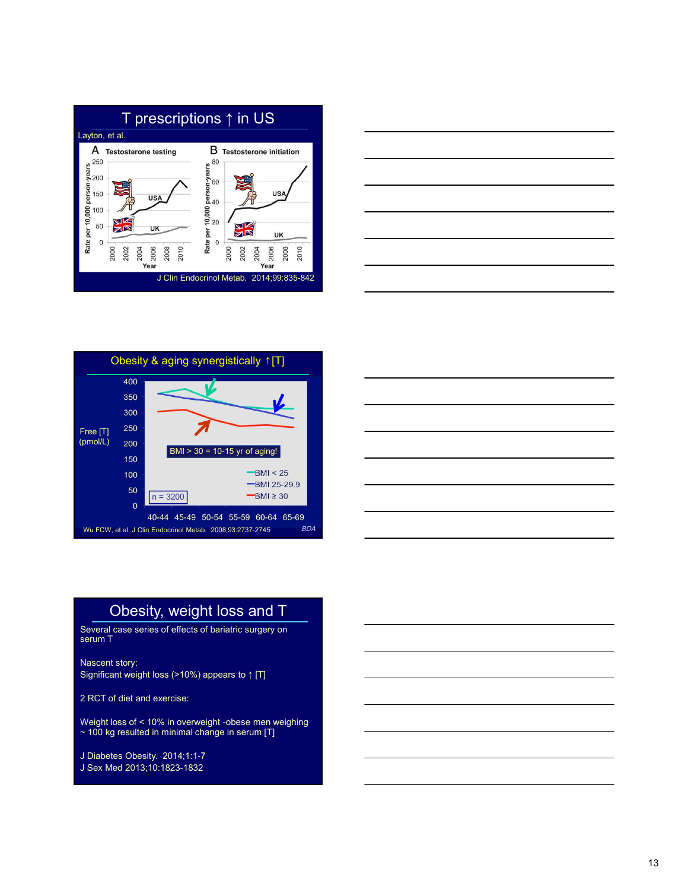







# Obesity, weight loss and T

Several case series of effects of bariatric surgery on serum T $\sim$  100  $\mu$  m  $\sim$  100  $\mu$  m  $\sim$  100  $\mu$  m  $\sim$  100  $\mu$ 

Nascent story: Significant weight loss (>10%) appears to ↑ [T]

2 RCT of diet and exercise:

Weight loss of < 10% in overweight -obese men weighing  $\sim$  100 kg resulted in minimal change in serum [T]  $\hskip1cm \qquad \qquad \blacksquare$ 

J Diabetes Obesity. 2014;1:1-7 J Sex Med 2013;10:1823-1832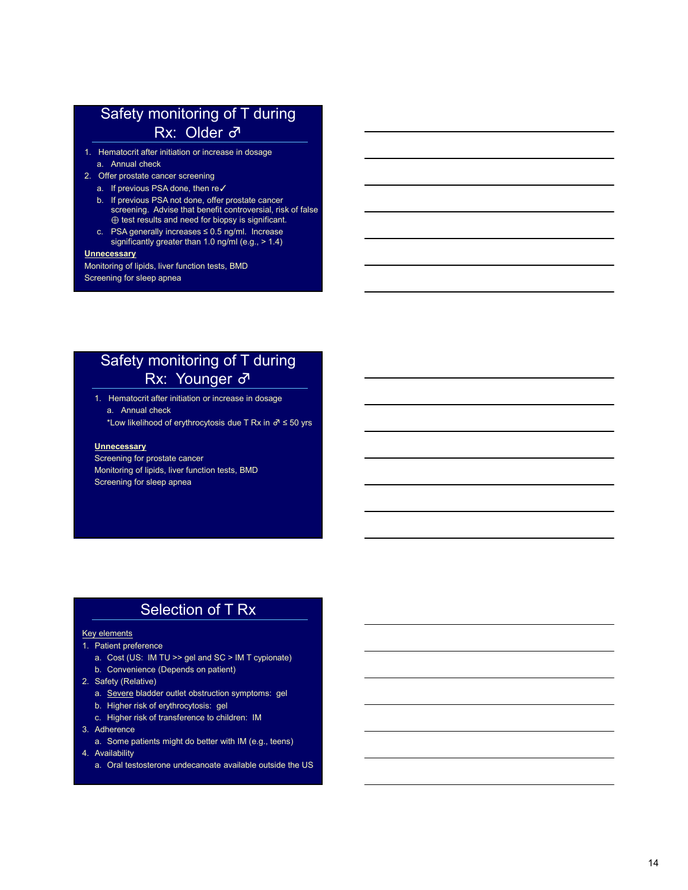# Safety monitoring of T during<br>
Rx: Older  $\vec{\sigma}$ <br>
1. Hematocrit after initiation or increase in dosage<br>
a. Annual check<br>
2. Offer prostate cancer screening<br>
a. If previous PSA done, then re $\checkmark$ <br>
b. If previous PSA not do Safety monitoring of T during Rx: Older ♂

- 
- -
- Safety monitoring of T during<br>
Rx: Older ♂<br>
Hematocrit after initiation or increase in dosage<br>
a. Annual check<br>
Offer prostate cancer screening<br>
b. If previous PSA done, then re<br>
b. If previous PSA done, offer prostate can Safety monitoring of T during<br>
Rx: Older  $\vec{\sigma}$ <br>
1. Hematocrit after initiation or increase in dosage<br>
2. Offer prostate cancer screening<br>
2. Offer prostate cancer screening<br>
6. If previous PSA done, then re/<br>
b. If prev Safety monitoring of T during<br>
Rx: Older  $\sigma$ <br>
Hematorit after initiation or increase in dosage<br>
a. A mund check<br>
Offer prostate cancer screening<br>
a. If previous PSA done, then re $\sqrt{t}$ <br>
b. If previous PSA done, then reSafety monitoring of T during<br>
Rx: Older  $\vec{\sigma}$ <br>
Hematocrit after initiation or increase in dosage<br>
a. Annual check<br>
Offer prostate cancer screening<br>
b. If previous PSA not done, offer prostate cancer<br>
b. If previous PSA screening. Advise that benefit controversial, risk of false ⊕ test results and need for biopsy is significant. Safety monitoring of T during<br>
Rx: Older ♂<br>
Hematocrit after initiation or increase in dosage<br>
a. Annual check<br>
Offer prostate cancer screening<br>
a. If previous PSA done, then re<br>
b. If previous PSA done, offer prostate ca **Safety monitoring of T during<br>
Rx: Older**  $\vec{\sigma}$ **<br>
Hematocrit after initiation or increase in dosage<br>
a. Annual check<br>
offer prostate cancer screening<br>
b. If previous PSA not done, offer prostate cancer<br>
b. If previous PS** 
	- significantly greater than 1.0 ng/ml (e.g., > 1.4)

#### **Unnecessary**

Monitoring of lipids, liver function tests, BMD Screening for sleep apnea

# **PARATION THEORY INTERFERENCE CONSUMITY OF THE CONSUMITY OF THE CONSUMITY OF THE CONSUMITY CONSUMITY (Figure 2015)**<br> *H* previous PSA done, then ne∠<br> **Expressions** cancer screening<br> *H* previous PSA done, then ne∠<br>
screen Safety monitoring of T during Rx: Younger ♂ Safety monitoring of T during<br>
1. Hematocritater initiation or increase in dosage<br>
a. Annual check<br>
"Low likelihood of erythrocytosis due T Rx in ∂ ≤ 50 yrs<br>
Unnecessary<br>
Screening for presiste cancer<br>
Monitoring of illyi

\*Low likelihood of erythrocytosis due T Rx in  $\sigma$  ≤ 50 yrs

#### **Unnecessary**

Screening for prostate cancer Monitoring of lipids, liver function tests, BMD Screening for sleep apnea **Particularity in Confliction of the Cost (US: IM TU CHE)**<br> **FAX:** Younger ∂<br>
1. Hematoori after initiation or increase in dosage<br>
"Low likelihood of erythrocytosis due T Rx in ∂ ≤ 50 yrs<br>
Screening for prostate cancer<br>
M **B.** Convention and the initiation or increase in dosage<br>
a. Annual check<br>
"Low likelihood of erythrocytosis due T Rx in ∂ ≤ 50 yrs<br>
<u>Unnecessary</u><br>
Screening for prostate cancer<br>
Monthoring of lipids, liver function test 2. Sammal check<br>
2. Annual check<br>
2. Annual check<br>
2. Consider the proposition of environmental check<br>
2. Screening for prostate cancer<br>
2. Screening for steep appea<br>
2. Screening for steep appea<br>
2. Safety elements<br>
2. S i. remaction the mission of interase in obsage<br>
a. Annual check<br>
"Low likelihood of erythrocytosis due T Rx in  $\vec{\sigma} \le 50$  yrs<br>
Screening for prostate cancer<br>
Monitoring of lipids, liver function tests, BMD<br>
Screening fo a. Amuar enext<br>
Movilkelihood of erythrocytosis due T Rx in ∂ ≤ 50 yrs<br>
Unnecessary<br>
Screening for prostate cancer<br>
Screening for siets, enertherichinests, BMD<br>
Screening for siets appear<br>
Screening for siets appear<br>
<br>
S Low incentrodo of erytmocytosis oue First in or Slouyis<br>
Screening for prostate cancer<br>
Monitoring of lipids, liver function tests, BMD<br>
Screening for sleep apnea<br>
<br> **Selection of T Rx**<br>
<br>
Patient preference<br>
a. Cost (US: 3. Adherence <u>universeary</u><br>
<u>universeary</u><br>
Screening for prostate cancer<br>
Monitoring of lipids, liver function tests, BMD<br>
<br> **Selection**<br>
Patient preference<br>
a. Cost (US: IM TU >> gel and SC > IM T cypionate)<br>
Bately (Relative)<br>
Safely Scheening for size to the function tests, BMD<br>
Monitoring of lipids, liver function tests, BMD<br>
Screening for sleep apnea<br>
<br>
A Cost (US: M TU >> gel and SC > M T cypionate)<br>
b. Convenience (Depends on patient)<br>
a. Some pat archivening to injects, issue introduced as the USC Screening for sleep apmea<br>
Screening for sleep apmea<br>
a. Cost (US: MTU >> gel and SC > MT cyplonate)<br>
b. Convenience (Opends on patient)<br>
a. Sexet US: MTU >> gel and SC >

# Selection of T Rx

#### Key elements

- 
- 
- 
- -
	-
	-
- -
- -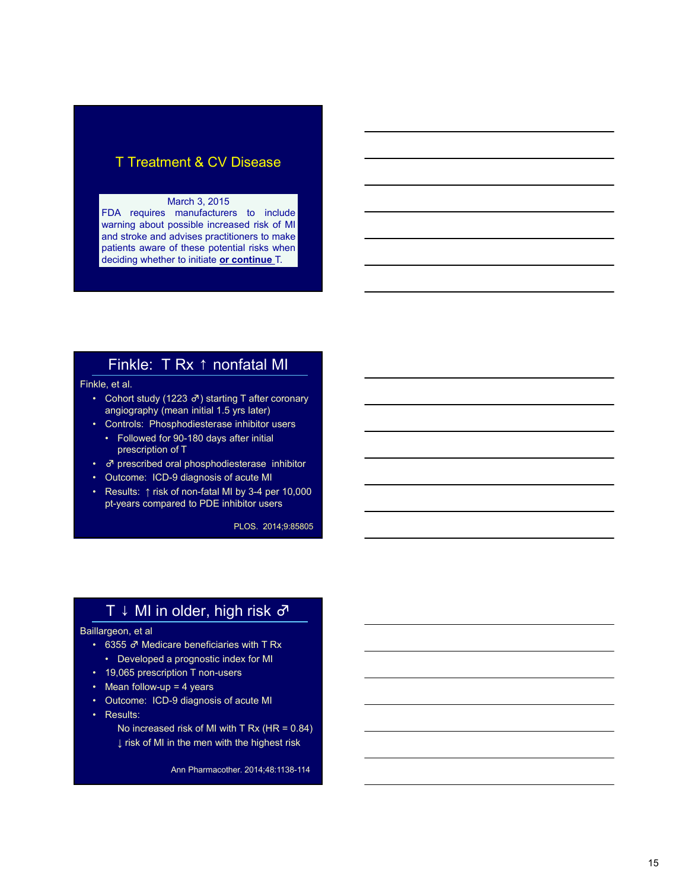## T Treatment & CV Disease

#### March 3, 2015

T Treatment & CV Disease<br>March 3, 2015<br>FDA requires manufacturers to include<br>warming about possible increased risk of MI<br>and stoke and advises practitioners to make<br>patients aware of these potential risks when<br>deciding whe T Treatment & CV Disease<br>
March 3, 2015<br>
March 3, 2015<br>
FDA requires manufacturers to include<br>
warning about possible increased risk of MI<br>
and storke and advises practitioners to make<br>
patients aware of these potential ri T Treatment & CV Disease<br>
March 3, 2015<br>
FDA requires manufacturers to include<br>
marming about possible increased risk of MI<br>
mand stroke and advises practitioners to make<br>
patients aware of these potential risks when<br>
rel T Treatment & CV Disease<br>
March 3, 2015<br>
FDA requires manufacturers to include<br>
warring about possible increased risk of MI<br>
and stroke and advises practitioners to make<br>
apatients ware of these potential risks when<br>
decid T Treatment & CV Disease<br>
March 3, 2015<br>
FDA requires manufacturers to include<br>
mand stoke and advises practitioners to make<br>
mand stoke and advises practitioners to make<br>
patients aware of these potential risks when<br>
deci T Treatment & CV Disease<br>
FDA requires manufacturers to include<br>
and stroke and advises practitioners to make<br>
patients aware of these potential risks when<br>
deciding whether to initiate or continue T.<br>
Finkle: T Rx 1 nonf T Treatment & CV Disease<br>
March 3, 2015<br>
TDA requires manufacturers to include<br>
marming about possible increased risk of MI<br>
materix and advises practitiones to make<br>
material state are of these potential risks when<br>
decid • Controls: Provides an analytical controls: Controls: Phosphodiesterase in the discoverant state of the and state and state and state and state and state and state and state and state and state and metallies (Fig. 1.1 R • Followed for 90-180 days after initial and street and stream and stream of solicity and provide increased fisk of MI<br>
and street and advises practitioners to make attents aware of these potential risks when<br>
relations March 3, 2015<br>
• March and stock end advises practitioners do include<br>
and stroke and advises practitioners to make<br>
patients aware of these potential risks when<br>
deciding whether to initiate or continue T.<br>
• Control stu FDA requires manufacturers to include<br>
warning about possible increased risk of MI<br>
and stroke and advises practitioners to make<br>
patients aware of these potential risks when<br>
deciding whether to initiate <u>or continue</u> T

# Finkle: T Rx ↑ nonfatal MI

Finkle, et al.

- 
- prescription of T **Finkle: T Rx ↑ nonfatal MI**<br> **Kie**, et al.<br>
• Cohort study (1223  $\sigma$ ) starting T after coronary<br>
• Controls: Phosphodical Harst 15 yrs later)<br>
• Controls: Phosphodical are inhibitor users<br>
• Followed for 90-180 days a FITIKIE. I FXX I HOFTICINE INT<br>
(setal.<br>
Cohort study (1223  $\sigma$ ) starting T after coronary<br>
anglography (mean initial 1.5 yrs later)<br>
Controls: Phosphodisterses inhibitor<br>
For MI considers and phosphodisterses inhibitor<br> kle, et al.<br>
• Control study (1223  $\sigma$ ) starting T after coronary<br>
• anglography (mean initial 1.5 yrs later)<br>
• Controls: Phosphodiesterase inhibitor users<br>
• Followed for 30-180 days after initial<br>
• Octomer: ICD-3 di • Cohort study (1223  $\sigma$ ) starting T after coronary<br>
• Controls: Phosphodiesterase inhibitor users<br>
• Followed for 90-180 days after initial<br>
• prescription of T<br>
•  $\sigma$  prescribed oral phosphodiesterase inhibitor<br>
• Out angiography (mean initial 1.5 yrs later)<br>
• Controls: Phosphodiesterase inhibitor<br>
• Followed for 90-180 days after initial<br>
• *a* prescribed oral phosphodiesterase inhibitor<br>
• *a* prescribed oral phosphodiesterase inhi • Controls: Phosphodiesterase inhibitor users<br>
• Followed for 90-180 days after initial<br>
• O prescripted oral phosphodicsterase inhibitor<br>
• Outcome: ICD-9 diagnosis of acute Mi<br>
• Results: † risk of non-fatal Mi by 3-4 p
- $\sigma$  prescribed oral phosphodiesterase inhibitor
- 
- pt-years compared to PDE inhibitor users

PLOS. 2014;9:85805

# T ↓ MI in older, high risk ♂

#### Baillargeon, et al

- 
- 
- 
- 
- 
- 

No increased risk of MI with T Rx (HR = 0.84) ↓ risk of MI in the men with the highest risk

Ann Pharmacother. 2014;48:1138-114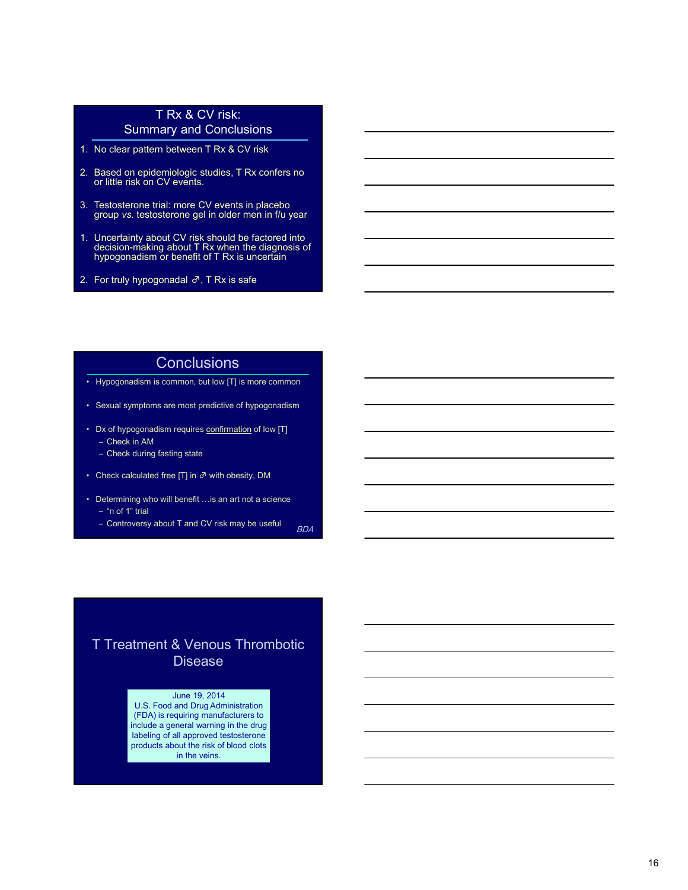### T Rx & CV risk: Summary and Conclusions

- 
- T Rx & CV risk:<br>
Summary and Conclusions<br>
1. No clear pattern between T Rx & CV risk<br>
2. Based on epidemiologic studies, T Rx confers no<br>
or little risk on CV events.<br>
3. Testosterone trial: more CV events in placebo<br>
grou T Rx & CV risk:<br>
Summary and Conclusions<br>
2. Based on epidemiologic studies, T Rx confers no<br>
or little risk on CV events.<br>
2. Based on epidemiologic studies, T Rx confers no<br>
group vs. testosterone gel in older men in fu 2. Based on epidemiologic studies, T Rx confers no<br>or little risk on CV events.
- 3. Testosterone trial: more CV events in placebo group vs. testosterone gel in older men in f/u year
- TRX & CV risk:<br>
Summary and Conclusions<br>
1. No clear pattern between TRx & CV risk<br>
2. Based on epidemiologic studies, TRx confers no<br>
or little risk on CV events.<br>
3. Testosterone trial: more CV events in placebo<br>
group v 1. No clear pattern between TRx & CV risk:<br>
2. Based on epidemiologic studies, TRx confers no<br>
2. Based on epidemiologic studies, TRx confers no<br>
3. Testosterone trial: more CV events in placebo<br>
3. Testosterone trial: mo decision-making about T Rx when the diagnosis of hypogonadism or benefit of T Rx is uncertain T Rx & CV risk:<br>
Summary and Conclusions<br>
1. No clear pattern between T Rx & CV risk<br>
2. Based on epidemiologic studies, T Rx confers no<br>
or little risk on CV events.<br>
3. Testosterone trial: more CV events in placebo<br>
gro FRX & CV risk:<br>
Summary and Conclusions<br>
No clear pattern between TRx & CV risk<br>
Based on epidemiologic suidies, TRx confers no<br>
or little risk on CV events.<br>
Testosterone trial: more CV events in placebo<br>
group vs. testo • The contribution of the symptom of the symptom of the symptom of the symptom of the symptom of the symptom of the symptom of the symptom of the symptom of the symptom of the symptom of the symptom of the symptom of the • No clear pattern between T Rx & CV risk<br>
Based on epiderniologic studies. T Rx confiers no<br>
or little trak on CV events.<br>
• Tectosterone trial: mone CV events in placebo<br>
group vs. testosterone gel in older men in f/u y ased on epidemiologic studies, TRx confers no<br>in little risk on CV events.<br>
estosterone trial: more CV events in placebo<br>
roup vs. testosterone gel in older men in *f/u* year<br>
Incertainty about CV risk should be factored lased on epidemiologic studies, T Rx confers no<br>
estosterone trial: more CV<br>
estosterone rial: more CV<br>
events in placebo<br>
croup vs. testosterone gel in older men in f/u year<br>
Docertainty about CV risk should be factored i Festosterone trial: more CV events in placebo<br>
group vs: testosterone gel in older men in fu year<br>
Uncertainty about CV risks should be factored into<br>
decision-making about T Rx winen the diagnosis of<br>
thypogonadism or erciarity about CV risk should be factored into<br>
Uncertainty about CV risk should be factored into<br>
decision-making about T Rx will be factored into<br>
the progonatism or benefit of T Rx is uncertain<br>
For truly hypogonata Monetainty about CV risk should be factored into<br>ecision-making about T Rx when the diagnosis of<br>ypogonadism or benefit of T Rx is uncertain<br>or truly hypogonadism or benefit of T Rx is safe<br>or truly hypogonadism at  $\overline{A}$ Incertainty about TCV risk should be factored into<br>election-making about T Rx when the diagnosis of<br>ypogonadism or benefit of T Rx is uncertain<br>for truly hypogonadism of P. T. Rx is safe<br>wypogonadism is common, but low [T
- 

#### **Conclusions**

- 
- 
- -
- 
- 
- BDA **B**ook and the second second second second second second second second second second second second second second second second second second second second second second second second second second second second second

# T Treatment & Venous Thrombotic Disease

#### June 19, 2014

U.S. Food and Drug Administration (FDA) is requiring manufacturers to include a general warning in the drug labeling of all approved testosterone products about the risk of blood clots in the veins.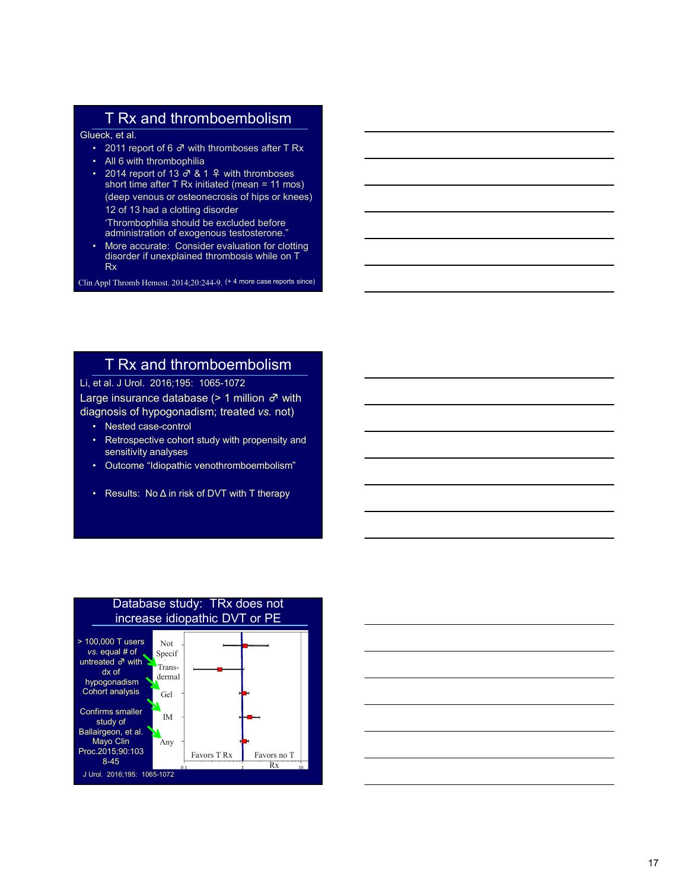# T Rx and thromboembolism

Glueck, et al.

- 2011 report of 6  $\sigma$  with thromboses after T Rx
- 
- T Rx and thromboembolism<br>
leck, et al.<br>
 2011 report of 6  $\sigma$  with thromboses after T Rx<br>
 All 6 with thrombolism<br>
 2014 report of 13  $\sigma$  & 1 9 with thromboses<br>
short time after T Rx initiated (mean = 11 mos)<br>
(deep **T Rx and thromboembolism**<br> **eck**, et al.<br>
• 2011 report of 6  $\sigma$  with thromboses after T Rx<br>
• All 6 with thrombophilia<br>
• 2014 report of 13  $\sigma$  & 1  $\frac{9}{4}$  with thromboses<br>
short time after T Rx initiated (mean = 11 **T Rx and thromboembolism**<br>
• 2011 report of 6  $\vec{\sigma}$  with thromboses after T Rx<br>
• 2014 report of 13  $\vec{\sigma}$  & 1  $\frac{\alpha}{\sigma}$  with thromboses<br>
• 2014 report of 13  $\vec{\sigma}$  & 1  $\frac{\alpha}{\sigma}$  with thromboses<br>
• short time after • 2014 report of 13 ♂ & 1 ♀ with thromboses short time after T Rx initiated (mean = 11 mos) (deep venous or osteonecrosis of hips or knees) 12 of 13 had a clotting disorder 'Thrombophilia should be excluded before administration of exogenous testosterone." **FRX and thromboembolism**<br>
• 2011 report of 6  $\vec{\sigma}$  with thromboses after T Fx<br>
• 2014 report of 13  $\vec{\sigma}$  & 1  $\phi$  with thromboses<br>
short time after T Rx initiated (mean = 11 mos)<br>
(deep venous or osteonecrosis of hip The RX and thromboembolism<br>
Glueck, et al.<br>
2011 report of 6  $\vec{\sigma}$  with thromboses after TRx<br>
2014 report of 13  $\vec{\sigma}$  & 1  $\vec{\epsilon}$  with thromboses<br>
short time after TRx initiated (mean = 11 mos)<br>
(deep venous or osteon **FROM ALLACT SUMMAL THE CASE ALLACT THE CASE ON A report of 13 σ<sup>2</sup> & 14 with thromboses<br>
• 2011 report of 13 σ<sup>2</sup> & 1 4 with thromboses<br>
short time after T Rx initiated (mean = 11 mos)<br>
(deep venous or osteonerosis of h** • 2011 report of 6  $\vec{\sigma}$  with thromboses after TRx<br>• All 6 with thrombophilia<br>• 2014 report of 13  $\vec{\sigma}$  & 1  $\frac{9}{4}$  with thromboses<br>stort time after TRx initiated (mean = 11 mos)<br>(deep venous or osteonecrosis of hip • 2014 report of 13  $\sigma$  & 1  $\Phi$  with thromboess<br>
short time after T Rx initiated (mean = 11 mos)<br>
(deep venous or osteonecrosis of hips or knees)<br>
Thrombophilia should be excluded before<br>
"Intermolophilia should be excl (see virtuals: and discursions of migrin the exclude before administration of exogenous teststeterne.<br>
Thrombonilli a should be exclude to discusse of administration of exogenous tests terme.<br>
More accurate: Consider eva
	- disorder if unexplained thrombosis while on T Rx **Rx** and the contract of the contract of the contract of the contract of the contract of the contract of the

Clin Appl Thromb Hemost. 2014;20:244-9. (+ 4 more case reports since)

# T Rx and thromboembolism

Li, et al. J Urol. 2016;195: 1065-1072

Large insurance database (> 1 million ♂ with diagnosis of hypogonadism; treated vs. not)

- 
- sensitivity analyses
- 
- 



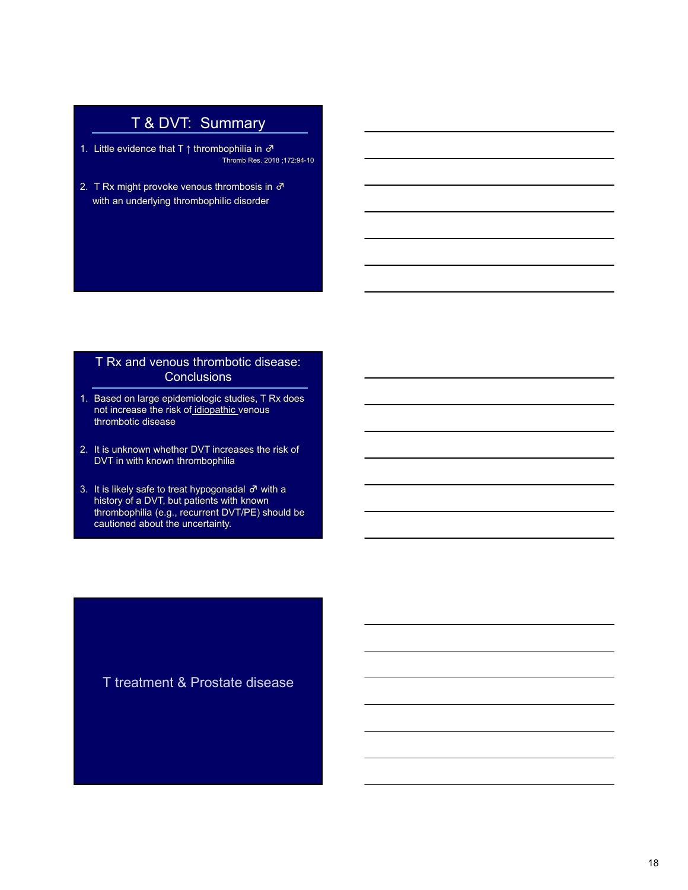# T & DVT: Summary

- 1. Little evidence that T ↑ thrombophilia in  $\sigma$ <br>1. Little evidence that T ↑ thrombophilia in  $\sigma$ <br>2. T Rx might provoke venous thrombosis in  $\sigma$ <br>with an underlying thrombophilic disorder mmary<br>
pophilia in  $\vec{\sigma}$ <br>
Thromb Res. 2018 ;172:94-10<br>
Thrombosis in  $\vec{\sigma}$ <br>
lic disorder  $\begin{array}{r} \begin{array}{c} \begin{array}{c} \text{T} & \text{&}\text{Q} & \text{V} \\ \text{T} & \text{S} & \text{I} \\ \text{I} & \text{I} & \text{I} \end{array} \end{array} \end{array}$ <br>
2. T Rx might provoke venous thrombosis in  $\sigma$ <br>
with an underlying thrombophilic disorder T & DVT: Summary<br>Little evidence that T  $\uparrow$  thrombophilia in  $\sigma$ <br>TRX might provoke venous thrombosis in  $\sigma$ <br>with an underlying thrombophilic disorder
- 

#### T Rx and venous thrombotic disease: **Conclusions**

- 1. Little evidence that T  $\uparrow$  thrombophilia in  $\vec{\sigma}$ <br>
2. T Rx might provoke venous thrombosis in  $\vec{\sigma}$ <br>
with an underlying thrombophilic disorder<br>
T Rx and venous thrombotic disease:<br>
Conclusions<br>
1. Based on large **not increase the risk of idiopathic venous through the risk of the risk of the risk of idiopathic venous throughout**  $\vec{r}$  **increase the risk of the underlying throughout disorder and with an underlying throughout disord** thrombotic disease
- DVT in with known thrombophilia
- This is Res. 2018:17294-10<br>
2. T Rx might provoke venous thrombosis in  $\vec{\sigma}$ <br>
with an underlying thrombophilic disorder<br>
1. T Rx and venous thrombotic disease:<br>
Conclusions<br>
1. Based on large epidemiologic studies, T Rx With an underlying thrombophilic disorder<br>
T Rx and venous thrombotic disease:<br>
Conclusions<br>
3. It is unknown whether plot increase the risk of <u>idiopathic</u> venous<br>
thrombotic disease<br>
2. It is unknown whether DVT increa history of a DVT, but patients with known thrombophilia (e.g., recurrent DVT/PE) should be cautioned about the uncertainty.

T treatment & Prostate disease